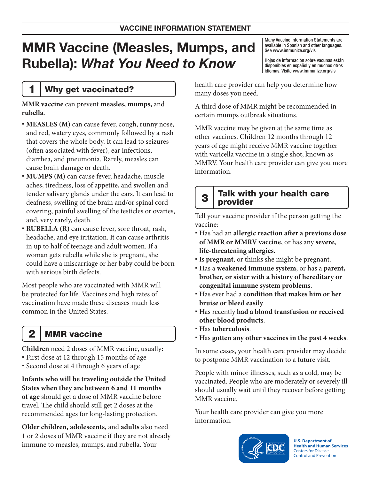# MMR Vaccine (Measles, Mumps, and Rubella): What You Need to Know

Many Vaccine Information Statements are available in Spanish and other languages. See [www.immunize.org/vis](http://www.immunize.org/vis)

Hojas de información sobre vacunas están disponibles en español y en muchos otros idiomas. Visite [www.immunize.org/vis](http://www.immunize.org/vis)

## 1 Why get vaccinated?

**MMR vaccine** can prevent **measles, mumps,** and **rubella**.

- **MEASLES (M)** can cause fever, cough, runny nose, and red, watery eyes, commonly followed by a rash that covers the whole body. It can lead to seizures (often associated with fever), ear infections, diarrhea, and pneumonia. Rarely, measles can cause brain damage or death.
- **MUMPS (M)** can cause fever, headache, muscle aches, tiredness, loss of appetite, and swollen and tender salivary glands under the ears. It can lead to deafness, swelling of the brain and/or spinal cord covering, painful swelling of the testicles or ovaries, and, very rarely, death.
- **RUBELLA (R)** can cause fever, sore throat, rash, headache, and eye irritation. It can cause arthritis in up to half of teenage and adult women. If a woman gets rubella while she is pregnant, she could have a miscarriage or her baby could be born with serious birth defects.

Most people who are vaccinated with MMR will be protected for life. Vaccines and high rates of vaccination have made these diseases much less common in the United States.

2 MMR vaccine

**Children** need 2 doses of MMR vaccine, usually:

- First dose at 12 through 15 months of age
- Second dose at 4 through 6 years of age

**Infants who will be traveling outside the United States when they are between 6 and 11 months of age** should get a dose of MMR vaccine before travel. The child should still get 2 doses at the recommended ages for long-lasting protection.

**Older children, adolescents,** and **adults** also need 1 or 2 doses of MMR vaccine if they are not already immune to measles, mumps, and rubella. Your

health care provider can help you determine how many doses you need.

A third dose of MMR might be recommended in certain mumps outbreak situations.

MMR vaccine may be given at the same time as other vaccines. Children 12 months through 12 years of age might receive MMR vaccine together with varicella vaccine in a single shot, known as MMRV. Your health care provider can give you more information.

#### $3$  Talk with your health care provider

Tell your vaccine provider if the person getting the vaccine:

- Has had an **allergic reaction after a previous dose of MMR or MMRV vaccine**, or has any **severe, life-threatening allergies**.
- Is **pregnant**, or thinks she might be pregnant.
- Has a **weakened immune system**, or has a **parent, brother, or sister with a history of hereditary or congenital immune system problems**.
- Has ever had a **condition that makes him or her bruise or bleed easily**.
- Has recently **had a blood transfusion or received other blood products**.
- Has **tuberculosis**.
- Has **gotten any other vaccines in the past 4 weeks**.

In some cases, your health care provider may decide to postpone MMR vaccination to a future visit.

People with minor illnesses, such as a cold, may be vaccinated. People who are moderately or severely ill should usually wait until they recover before getting MMR vaccine.

Your health care provider can give you more information.



**U.S. Department of Health and Human Services**  Centers for Disease Control and Prevention